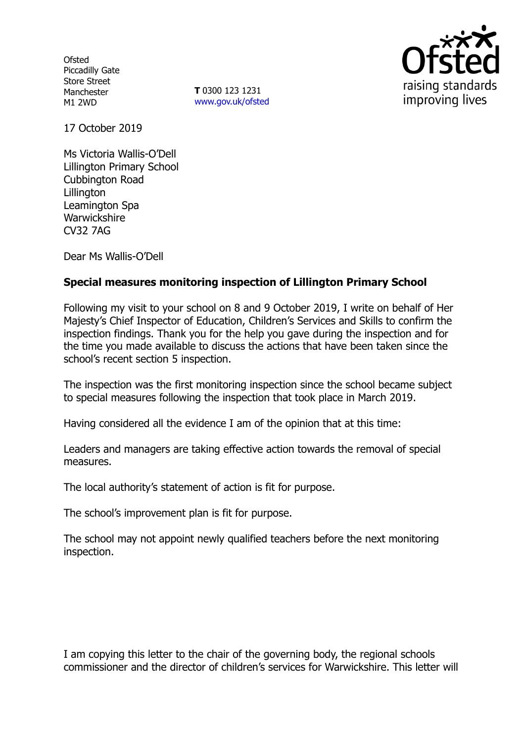**Ofsted** Piccadilly Gate Store Street Manchester M1 2WD

**T** 0300 123 1231 www.gov.uk/ofsted



17 October 2019

Ms Victoria Wallis-O'Dell Lillington Primary School Cubbington Road Lillington Leamington Spa Warwickshire CV32 7AG

Dear Ms Wallis-O'Dell

# **Special measures monitoring inspection of Lillington Primary School**

Following my visit to your school on 8 and 9 October 2019, I write on behalf of Her Majesty's Chief Inspector of Education, Children's Services and Skills to confirm the inspection findings. Thank you for the help you gave during the inspection and for the time you made available to discuss the actions that have been taken since the school's recent section 5 inspection.

The inspection was the first monitoring inspection since the school became subject to special measures following the inspection that took place in March 2019.

Having considered all the evidence I am of the opinion that at this time:

Leaders and managers are taking effective action towards the removal of special measures.

The local authority's statement of action is fit for purpose.

The school's improvement plan is fit for purpose.

The school may not appoint newly qualified teachers before the next monitoring inspection.

I am copying this letter to the chair of the governing body, the regional schools commissioner and the director of children's services for Warwickshire. This letter will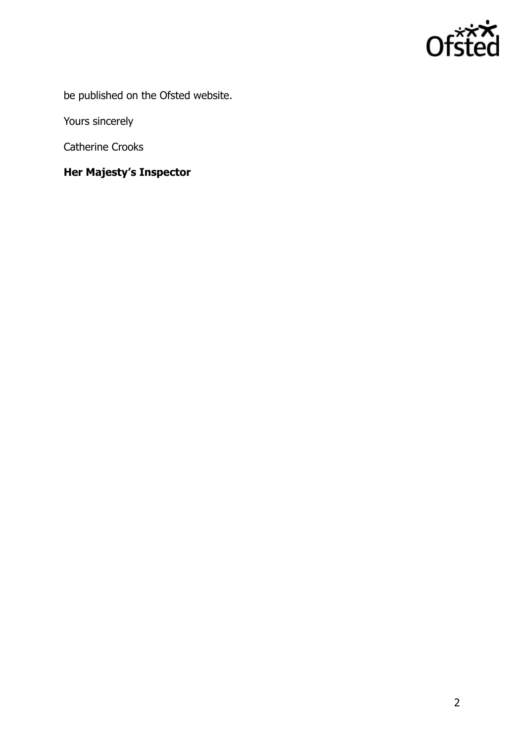

be published on the Ofsted website.

Yours sincerely

Catherine Crooks

**Her Majesty's Inspector**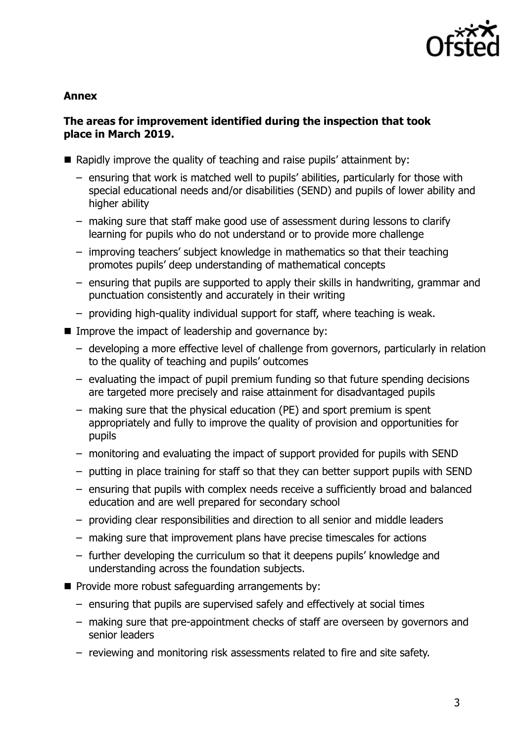

## **Annex**

## **The areas for improvement identified during the inspection that took place in March 2019.**

- Rapidly improve the quality of teaching and raise pupils' attainment by:
	- ensuring that work is matched well to pupils' abilities, particularly for those with special educational needs and/or disabilities (SEND) and pupils of lower ability and higher ability
	- making sure that staff make good use of assessment during lessons to clarify learning for pupils who do not understand or to provide more challenge
	- improving teachers' subject knowledge in mathematics so that their teaching promotes pupils' deep understanding of mathematical concepts
	- ensuring that pupils are supported to apply their skills in handwriting, grammar and punctuation consistently and accurately in their writing
	- providing high-quality individual support for staff, where teaching is weak.
- **IMPROVE THE IMPACT OF leadership and governance by:** 
	- developing a more effective level of challenge from governors, particularly in relation to the quality of teaching and pupils' outcomes
	- evaluating the impact of pupil premium funding so that future spending decisions are targeted more precisely and raise attainment for disadvantaged pupils
	- making sure that the physical education (PE) and sport premium is spent appropriately and fully to improve the quality of provision and opportunities for pupils
	- monitoring and evaluating the impact of support provided for pupils with SEND
	- putting in place training for staff so that they can better support pupils with SEND
	- ensuring that pupils with complex needs receive a sufficiently broad and balanced education and are well prepared for secondary school
	- providing clear responsibilities and direction to all senior and middle leaders
	- making sure that improvement plans have precise timescales for actions
	- further developing the curriculum so that it deepens pupils' knowledge and understanding across the foundation subjects.
- **Provide more robust safeguarding arrangements by:** 
	- ensuring that pupils are supervised safely and effectively at social times
	- making sure that pre-appointment checks of staff are overseen by governors and senior leaders
	- reviewing and monitoring risk assessments related to fire and site safety.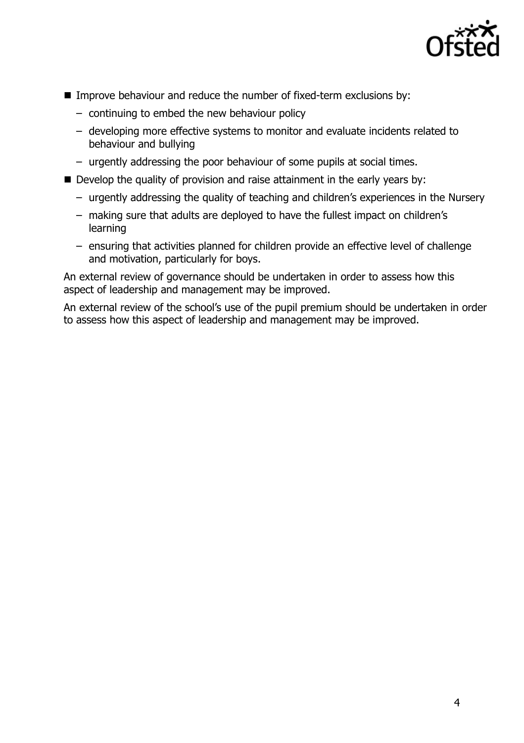

- Improve behaviour and reduce the number of fixed-term exclusions by:
	- continuing to embed the new behaviour policy
	- developing more effective systems to monitor and evaluate incidents related to behaviour and bullying
	- urgently addressing the poor behaviour of some pupils at social times.
- Develop the quality of provision and raise attainment in the early years by:
	- urgently addressing the quality of teaching and children's experiences in the Nursery
	- making sure that adults are deployed to have the fullest impact on children's learning
	- ensuring that activities planned for children provide an effective level of challenge and motivation, particularly for boys.

An external review of governance should be undertaken in order to assess how this aspect of leadership and management may be improved.

An external review of the school's use of the pupil premium should be undertaken in order to assess how this aspect of leadership and management may be improved.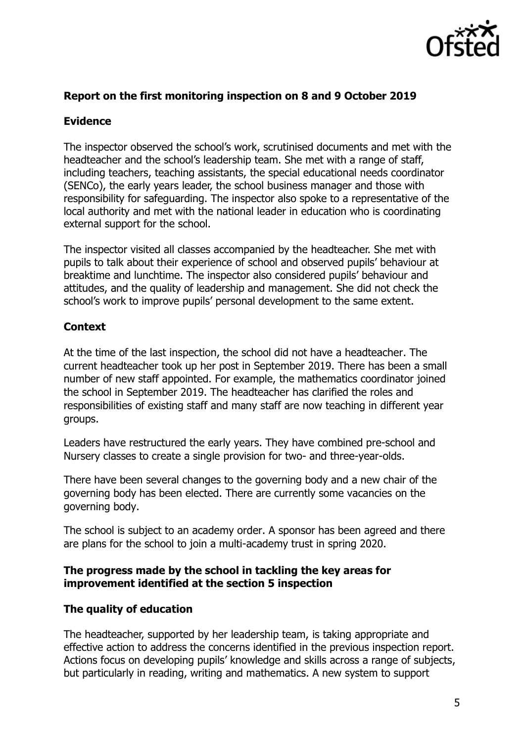

## **Report on the first monitoring inspection on 8 and 9 October 2019**

## **Evidence**

The inspector observed the school's work, scrutinised documents and met with the headteacher and the school's leadership team. She met with a range of staff, including teachers, teaching assistants, the special educational needs coordinator (SENCo), the early years leader, the school business manager and those with responsibility for safeguarding. The inspector also spoke to a representative of the local authority and met with the national leader in education who is coordinating external support for the school.

The inspector visited all classes accompanied by the headteacher. She met with pupils to talk about their experience of school and observed pupils' behaviour at breaktime and lunchtime. The inspector also considered pupils' behaviour and attitudes, and the quality of leadership and management. She did not check the school's work to improve pupils' personal development to the same extent.

## **Context**

At the time of the last inspection, the school did not have a headteacher. The current headteacher took up her post in September 2019. There has been a small number of new staff appointed. For example, the mathematics coordinator joined the school in September 2019. The headteacher has clarified the roles and responsibilities of existing staff and many staff are now teaching in different year groups.

Leaders have restructured the early years. They have combined pre-school and Nursery classes to create a single provision for two- and three-year-olds.

There have been several changes to the governing body and a new chair of the governing body has been elected. There are currently some vacancies on the governing body.

The school is subject to an academy order. A sponsor has been agreed and there are plans for the school to join a multi-academy trust in spring 2020.

## **The progress made by the school in tackling the key areas for improvement identified at the section 5 inspection**

## **The quality of education**

The headteacher, supported by her leadership team, is taking appropriate and effective action to address the concerns identified in the previous inspection report. Actions focus on developing pupils' knowledge and skills across a range of subjects, but particularly in reading, writing and mathematics. A new system to support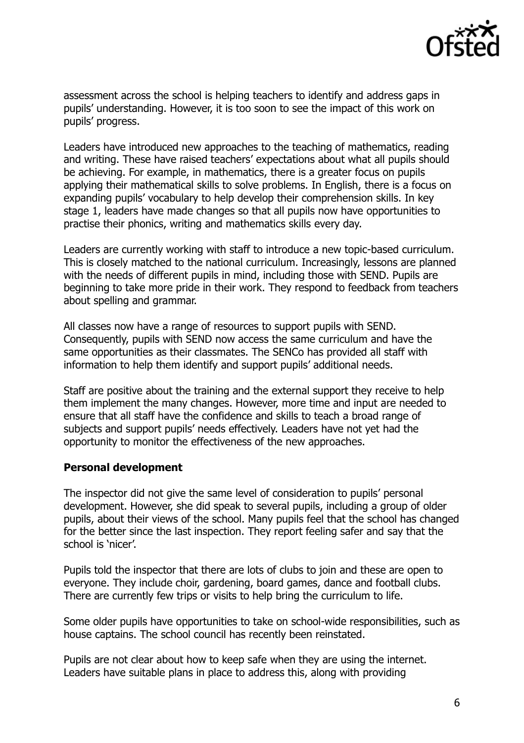

assessment across the school is helping teachers to identify and address gaps in pupils' understanding. However, it is too soon to see the impact of this work on pupils' progress.

Leaders have introduced new approaches to the teaching of mathematics, reading and writing. These have raised teachers' expectations about what all pupils should be achieving. For example, in mathematics, there is a greater focus on pupils applying their mathematical skills to solve problems. In English, there is a focus on expanding pupils' vocabulary to help develop their comprehension skills. In key stage 1, leaders have made changes so that all pupils now have opportunities to practise their phonics, writing and mathematics skills every day.

Leaders are currently working with staff to introduce a new topic-based curriculum. This is closely matched to the national curriculum. Increasingly, lessons are planned with the needs of different pupils in mind, including those with SEND. Pupils are beginning to take more pride in their work. They respond to feedback from teachers about spelling and grammar.

All classes now have a range of resources to support pupils with SEND. Consequently, pupils with SEND now access the same curriculum and have the same opportunities as their classmates. The SENCo has provided all staff with information to help them identify and support pupils' additional needs.

Staff are positive about the training and the external support they receive to help them implement the many changes. However, more time and input are needed to ensure that all staff have the confidence and skills to teach a broad range of subjects and support pupils' needs effectively. Leaders have not yet had the opportunity to monitor the effectiveness of the new approaches.

#### **Personal development**

The inspector did not give the same level of consideration to pupils' personal development. However, she did speak to several pupils, including a group of older pupils, about their views of the school. Many pupils feel that the school has changed for the better since the last inspection. They report feeling safer and say that the school is 'nicer'.

Pupils told the inspector that there are lots of clubs to join and these are open to everyone. They include choir, gardening, board games, dance and football clubs. There are currently few trips or visits to help bring the curriculum to life.

Some older pupils have opportunities to take on school-wide responsibilities, such as house captains. The school council has recently been reinstated.

Pupils are not clear about how to keep safe when they are using the internet. Leaders have suitable plans in place to address this, along with providing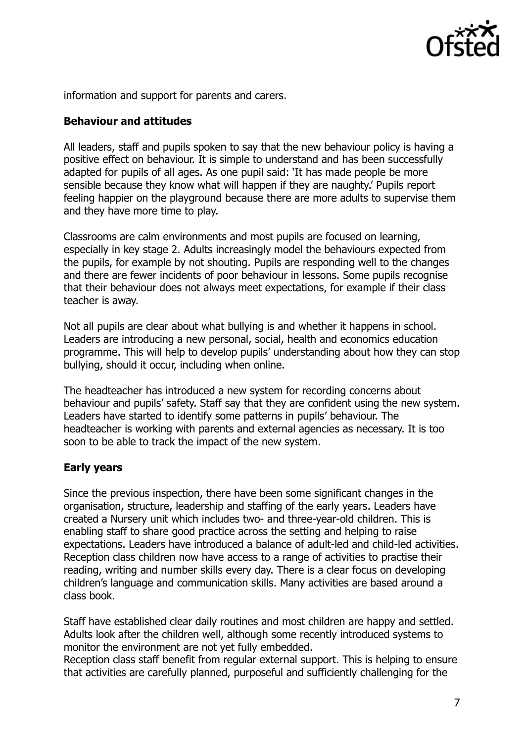

information and support for parents and carers.

## **Behaviour and attitudes**

All leaders, staff and pupils spoken to say that the new behaviour policy is having a positive effect on behaviour. It is simple to understand and has been successfully adapted for pupils of all ages. As one pupil said: 'It has made people be more sensible because they know what will happen if they are naughty.' Pupils report feeling happier on the playground because there are more adults to supervise them and they have more time to play.

Classrooms are calm environments and most pupils are focused on learning, especially in key stage 2. Adults increasingly model the behaviours expected from the pupils, for example by not shouting. Pupils are responding well to the changes and there are fewer incidents of poor behaviour in lessons. Some pupils recognise that their behaviour does not always meet expectations, for example if their class teacher is away.

Not all pupils are clear about what bullying is and whether it happens in school. Leaders are introducing a new personal, social, health and economics education programme. This will help to develop pupils' understanding about how they can stop bullying, should it occur, including when online.

The headteacher has introduced a new system for recording concerns about behaviour and pupils' safety. Staff say that they are confident using the new system. Leaders have started to identify some patterns in pupils' behaviour. The headteacher is working with parents and external agencies as necessary. It is too soon to be able to track the impact of the new system.

## **Early years**

Since the previous inspection, there have been some significant changes in the organisation, structure, leadership and staffing of the early years. Leaders have created a Nursery unit which includes two- and three-year-old children. This is enabling staff to share good practice across the setting and helping to raise expectations. Leaders have introduced a balance of adult-led and child-led activities. Reception class children now have access to a range of activities to practise their reading, writing and number skills every day. There is a clear focus on developing children's language and communication skills. Many activities are based around a class book.

Staff have established clear daily routines and most children are happy and settled. Adults look after the children well, although some recently introduced systems to monitor the environment are not yet fully embedded.

Reception class staff benefit from regular external support. This is helping to ensure that activities are carefully planned, purposeful and sufficiently challenging for the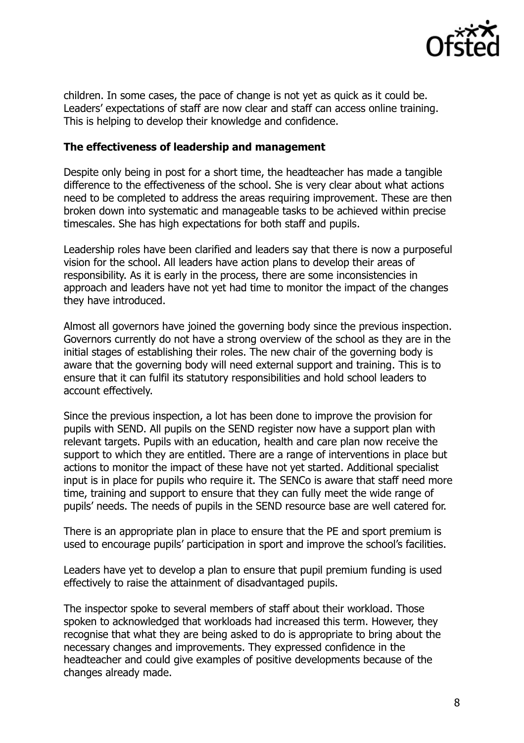

children. In some cases, the pace of change is not yet as quick as it could be. Leaders' expectations of staff are now clear and staff can access online training. This is helping to develop their knowledge and confidence.

#### **The effectiveness of leadership and management**

Despite only being in post for a short time, the headteacher has made a tangible difference to the effectiveness of the school. She is very clear about what actions need to be completed to address the areas requiring improvement. These are then broken down into systematic and manageable tasks to be achieved within precise timescales. She has high expectations for both staff and pupils.

Leadership roles have been clarified and leaders say that there is now a purposeful vision for the school. All leaders have action plans to develop their areas of responsibility. As it is early in the process, there are some inconsistencies in approach and leaders have not yet had time to monitor the impact of the changes they have introduced.

Almost all governors have joined the governing body since the previous inspection. Governors currently do not have a strong overview of the school as they are in the initial stages of establishing their roles. The new chair of the governing body is aware that the governing body will need external support and training. This is to ensure that it can fulfil its statutory responsibilities and hold school leaders to account effectively.

Since the previous inspection, a lot has been done to improve the provision for pupils with SEND. All pupils on the SEND register now have a support plan with relevant targets. Pupils with an education, health and care plan now receive the support to which they are entitled. There are a range of interventions in place but actions to monitor the impact of these have not yet started. Additional specialist input is in place for pupils who require it. The SENCo is aware that staff need more time, training and support to ensure that they can fully meet the wide range of pupils' needs. The needs of pupils in the SEND resource base are well catered for.

There is an appropriate plan in place to ensure that the PE and sport premium is used to encourage pupils' participation in sport and improve the school's facilities.

Leaders have yet to develop a plan to ensure that pupil premium funding is used effectively to raise the attainment of disadvantaged pupils.

The inspector spoke to several members of staff about their workload. Those spoken to acknowledged that workloads had increased this term. However, they recognise that what they are being asked to do is appropriate to bring about the necessary changes and improvements. They expressed confidence in the headteacher and could give examples of positive developments because of the changes already made.